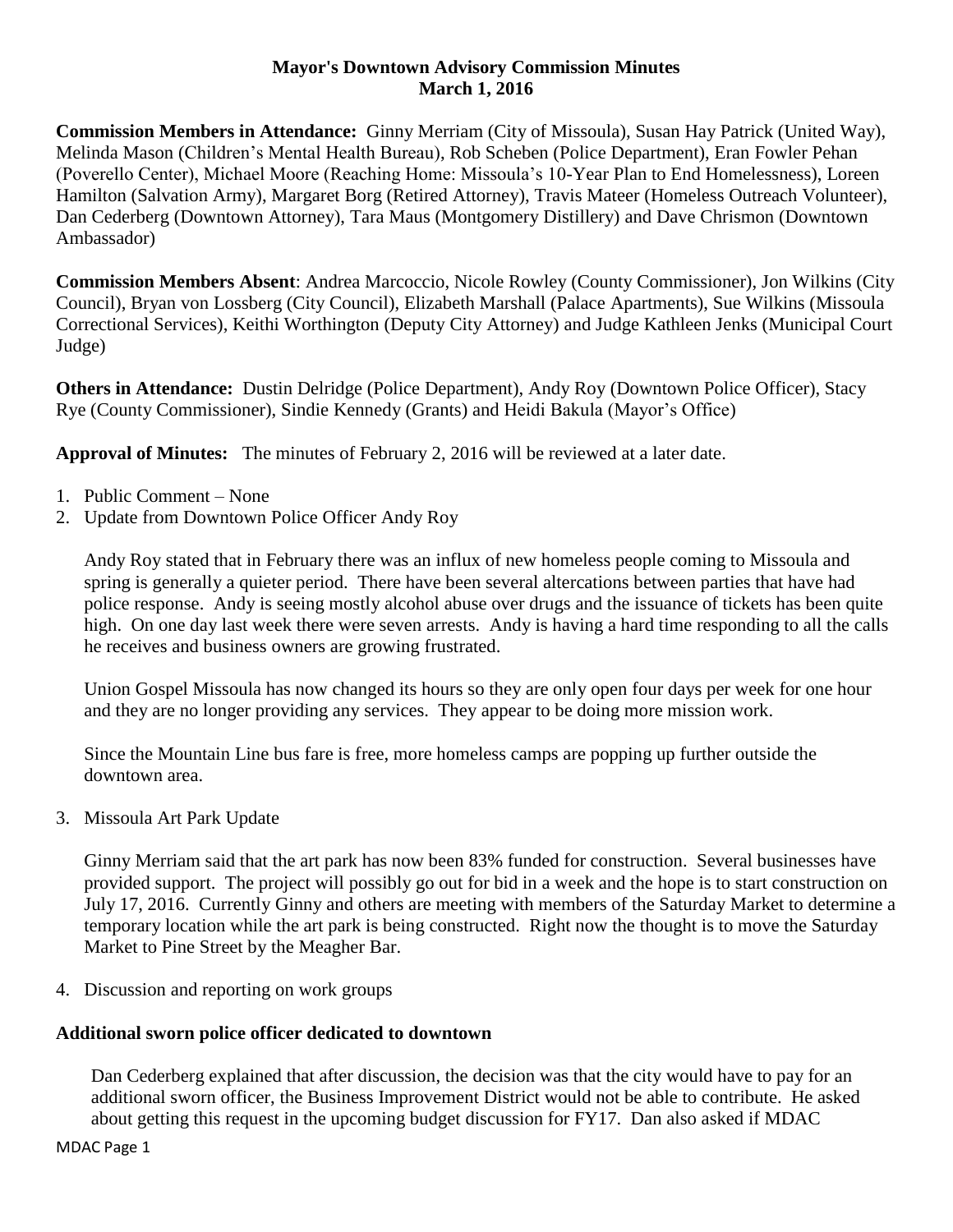#### **Mayor's Downtown Advisory Commission Minutes March 1, 2016**

**Commission Members in Attendance:** Ginny Merriam (City of Missoula), Susan Hay Patrick (United Way), Melinda Mason (Children's Mental Health Bureau), Rob Scheben (Police Department), Eran Fowler Pehan (Poverello Center), Michael Moore (Reaching Home: Missoula's 10-Year Plan to End Homelessness), Loreen Hamilton (Salvation Army), Margaret Borg (Retired Attorney), Travis Mateer (Homeless Outreach Volunteer), Dan Cederberg (Downtown Attorney), Tara Maus (Montgomery Distillery) and Dave Chrismon (Downtown Ambassador)

**Commission Members Absent**: Andrea Marcoccio, Nicole Rowley (County Commissioner), Jon Wilkins (City Council), Bryan von Lossberg (City Council), Elizabeth Marshall (Palace Apartments), Sue Wilkins (Missoula Correctional Services), Keithi Worthington (Deputy City Attorney) and Judge Kathleen Jenks (Municipal Court Judge)

**Others in Attendance:** Dustin Delridge (Police Department), Andy Roy (Downtown Police Officer), Stacy Rye (County Commissioner), Sindie Kennedy (Grants) and Heidi Bakula (Mayor's Office)

**Approval of Minutes:** The minutes of February 2, 2016 will be reviewed at a later date.

- 1. Public Comment None
- 2. Update from Downtown Police Officer Andy Roy

Andy Roy stated that in February there was an influx of new homeless people coming to Missoula and spring is generally a quieter period. There have been several altercations between parties that have had police response. Andy is seeing mostly alcohol abuse over drugs and the issuance of tickets has been quite high. On one day last week there were seven arrests. Andy is having a hard time responding to all the calls he receives and business owners are growing frustrated.

Union Gospel Missoula has now changed its hours so they are only open four days per week for one hour and they are no longer providing any services. They appear to be doing more mission work.

Since the Mountain Line bus fare is free, more homeless camps are popping up further outside the downtown area.

3. Missoula Art Park Update

Ginny Merriam said that the art park has now been 83% funded for construction. Several businesses have provided support. The project will possibly go out for bid in a week and the hope is to start construction on July 17, 2016. Currently Ginny and others are meeting with members of the Saturday Market to determine a temporary location while the art park is being constructed. Right now the thought is to move the Saturday Market to Pine Street by the Meagher Bar.

4. Discussion and reporting on work groups

# **Additional sworn police officer dedicated to downtown**

Dan Cederberg explained that after discussion, the decision was that the city would have to pay for an additional sworn officer, the Business Improvement District would not be able to contribute. He asked about getting this request in the upcoming budget discussion for FY17. Dan also asked if MDAC